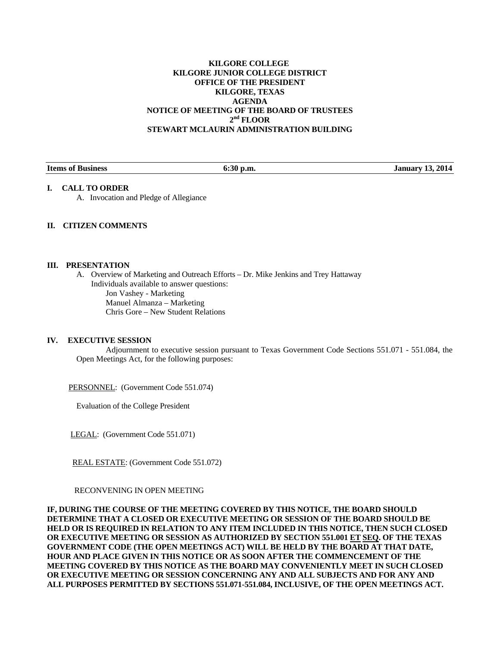# **KILGORE COLLEGE KILGORE JUNIOR COLLEGE DISTRICT OFFICE OF THE PRESIDENT KILGORE, TEXAS AGENDA NOTICE OF MEETING OF THE BOARD OF TRUSTEES 2nd FLOOR STEWART MCLAURIN ADMINISTRATION BUILDING**

**Items of Business 6:30 p.m. January 13, 2014** 

# **I. CALL TO ORDER**

A. Invocation and Pledge of Allegiance

# **II. CITIZEN COMMENTS**

### **III. PRESENTATION**

A. Overview of Marketing and Outreach Efforts – Dr. Mike Jenkins and Trey Hattaway Individuals available to answer questions: Jon Vashey - Marketing Manuel Almanza – Marketing Chris Gore – New Student Relations

## **IV. EXECUTIVE SESSION**

 Adjournment to executive session pursuant to Texas Government Code Sections 551.071 - 551.084, the Open Meetings Act, for the following purposes:

PERSONNEL: (Government Code 551.074)

Evaluation of the College President

LEGAL: (Government Code 551.071)

REAL ESTATE: (Government Code 551.072)

### RECONVENING IN OPEN MEETING

**IF, DURING THE COURSE OF THE MEETING COVERED BY THIS NOTICE, THE BOARD SHOULD DETERMINE THAT A CLOSED OR EXECUTIVE MEETING OR SESSION OF THE BOARD SHOULD BE HELD OR IS REQUIRED IN RELATION TO ANY ITEM INCLUDED IN THIS NOTICE, THEN SUCH CLOSED OR EXECUTIVE MEETING OR SESSION AS AUTHORIZED BY SECTION 551.001 ET SEQ. OF THE TEXAS GOVERNMENT CODE (THE OPEN MEETINGS ACT) WILL BE HELD BY THE BOARD AT THAT DATE, HOUR AND PLACE GIVEN IN THIS NOTICE OR AS SOON AFTER THE COMMENCEMENT OF THE MEETING COVERED BY THIS NOTICE AS THE BOARD MAY CONVENIENTLY MEET IN SUCH CLOSED OR EXECUTIVE MEETING OR SESSION CONCERNING ANY AND ALL SUBJECTS AND FOR ANY AND ALL PURPOSES PERMITTED BY SECTIONS 551.071-551.084, INCLUSIVE, OF THE OPEN MEETINGS ACT.**